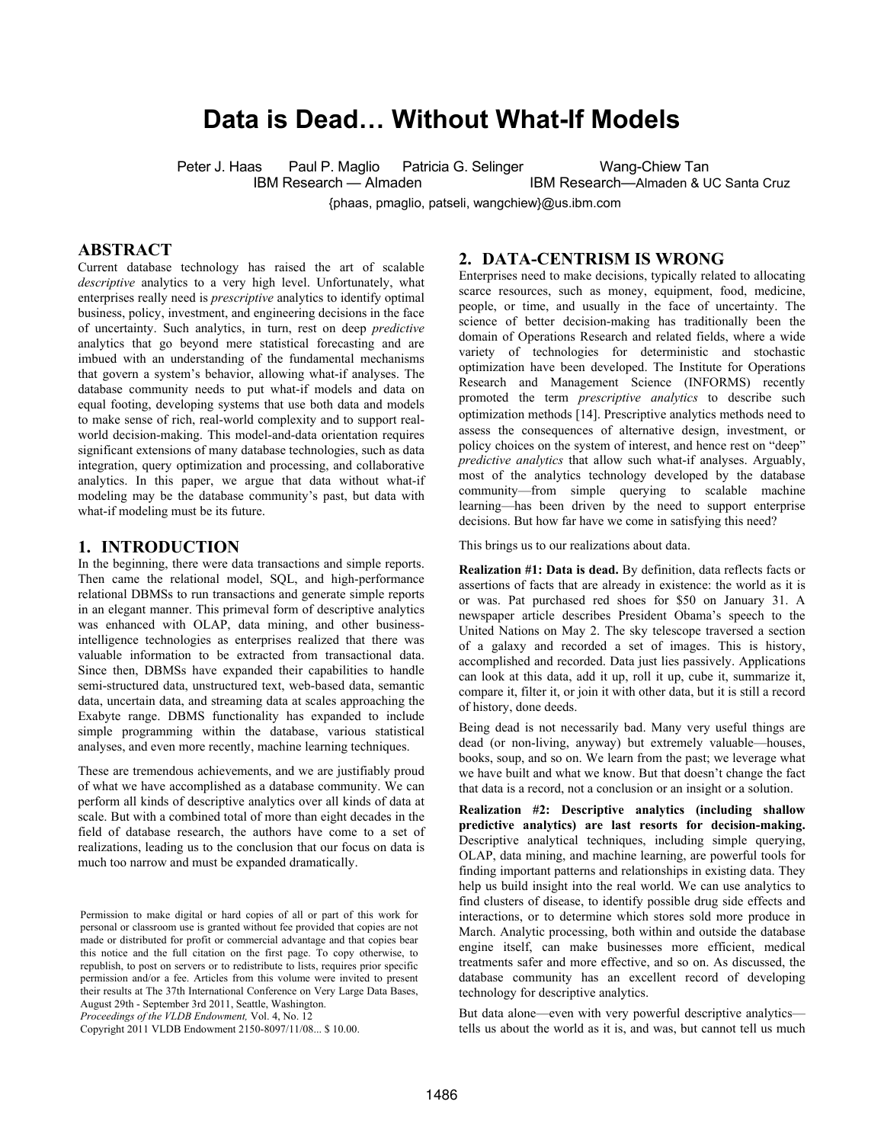# **Data is Dead… Without What-If Models**

Peter J. Haas Paul P. Maglio Patricia G. Selinger Wang-Chiew Tan

IBM Research — Almaden **IBM Research—Almaden & UC Santa Cruz** 

{phaas, pmaglio, patseli, wangchiew}@us.ibm.com

### **ABSTRACT**

Current database technology has raised the art of scalable *descriptive* analytics to a very high level. Unfortunately, what enterprises really need is *prescriptive* analytics to identify optimal business, policy, investment, and engineering decisions in the face of uncertainty. Such analytics, in turn, rest on deep *predictive* analytics that go beyond mere statistical forecasting and are imbued with an understanding of the fundamental mechanisms that govern a system's behavior, allowing what-if analyses. The database community needs to put what-if models and data on equal footing, developing systems that use both data and models to make sense of rich, real-world complexity and to support realworld decision-making. This model-and-data orientation requires significant extensions of many database technologies, such as data integration, query optimization and processing, and collaborative analytics. In this paper, we argue that data without what-if modeling may be the database community's past, but data with what-if modeling must be its future.

#### **1. INTRODUCTION**

In the beginning, there were data transactions and simple reports. Then came the relational model, SQL, and high-performance relational DBMSs to run transactions and generate simple reports in an elegant manner. This primeval form of descriptive analytics was enhanced with OLAP, data mining, and other businessintelligence technologies as enterprises realized that there was valuable information to be extracted from transactional data. Since then, DBMSs have expanded their capabilities to handle semi-structured data, unstructured text, web-based data, semantic data, uncertain data, and streaming data at scales approaching the Exabyte range. DBMS functionality has expanded to include simple programming within the database, various statistical analyses, and even more recently, machine learning techniques.

These are tremendous achievements, and we are justifiably proud of what we have accomplished as a database community. We can perform all kinds of descriptive analytics over all kinds of data at scale. But with a combined total of more than eight decades in the field of database research, the authors have come to a set of realizations, leading us to the conclusion that our focus on data is much too narrow and must be expanded dramatically.

*Proceedings of the VLDB Endowment,* Vol. 4, No. 12

Copyright 2011 VLDB Endowment 2150-8097/11/08... \$ 10.00.

### **2. DATA-CENTRISM IS WRONG**

Enterprises need to make decisions, typically related to allocating scarce resources, such as money, equipment, food, medicine, people, or time, and usually in the face of uncertainty. The science of better decision-making has traditionally been the domain of Operations Research and related fields, where a wide variety of technologies for deterministic and stochastic optimization have been developed. The Institute for Operations Research and Management Science (INFORMS) recently promoted the term *prescriptive analytics* to describe such optimization methods [14]. Prescriptive analytics methods need to assess the consequences of alternative design, investment, or policy choices on the system of interest, and hence rest on "deep" *predictive analytics* that allow such what-if analyses. Arguably, most of the analytics technology developed by the database community—from simple querying to scalable machine learning—has been driven by the need to support enterprise decisions. But how far have we come in satisfying this need?

This brings us to our realizations about data.

**Realization #1: Data is dead.** By definition, data reflects facts or assertions of facts that are already in existence: the world as it is or was. Pat purchased red shoes for \$50 on January 31. A newspaper article describes President Obama's speech to the United Nations on May 2. The sky telescope traversed a section of a galaxy and recorded a set of images. This is history, accomplished and recorded. Data just lies passively. Applications can look at this data, add it up, roll it up, cube it, summarize it, compare it, filter it, or join it with other data, but it is still a record of history, done deeds.

Being dead is not necessarily bad. Many very useful things are dead (or non-living, anyway) but extremely valuable—houses, books, soup, and so on. We learn from the past; we leverage what we have built and what we know. But that doesn't change the fact that data is a record, not a conclusion or an insight or a solution.

**Realization #2: Descriptive analytics (including shallow predictive analytics) are last resorts for decision-making.** Descriptive analytical techniques, including simple querying, OLAP, data mining, and machine learning, are powerful tools for finding important patterns and relationships in existing data. They help us build insight into the real world. We can use analytics to find clusters of disease, to identify possible drug side effects and interactions, or to determine which stores sold more produce in March. Analytic processing, both within and outside the database engine itself, can make businesses more efficient, medical treatments safer and more effective, and so on. As discussed, the database community has an excellent record of developing technology for descriptive analytics.

But data alone—even with very powerful descriptive analytics tells us about the world as it is, and was, but cannot tell us much

Permission to make digital or hard copies of all or part of this work for personal or classroom use is granted without fee provided that copies are not made or distributed for profit or commercial advantage and that copies bear this notice and the full citation on the first page. To copy otherwise, to republish, to post on servers or to redistribute to lists, requires prior specific permission and/or a fee. Articles from this volume were invited to present their results at The 37th International Conference on Very Large Data Bases, August 29th - September 3rd 2011, Seattle, Washington.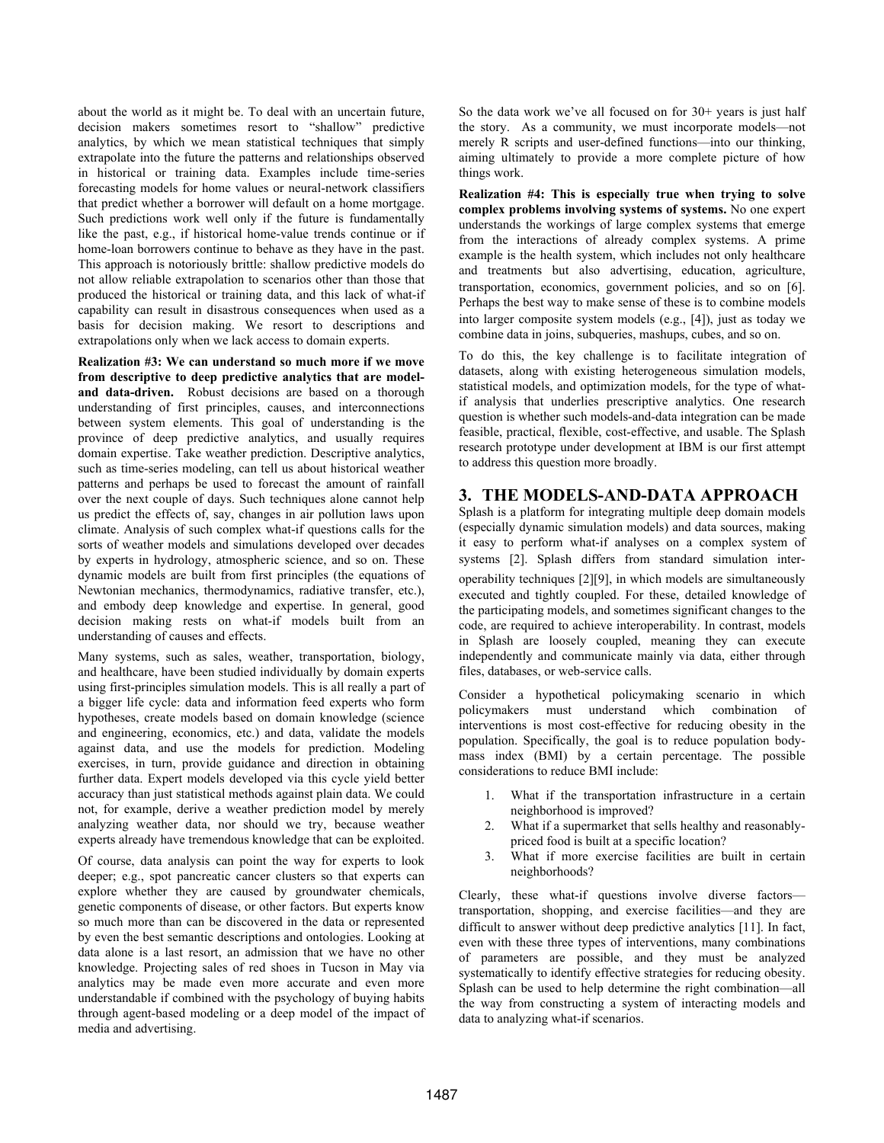about the world as it might be. To deal with an uncertain future, decision makers sometimes resort to "shallow" predictive analytics, by which we mean statistical techniques that simply extrapolate into the future the patterns and relationships observed in historical or training data. Examples include time-series forecasting models for home values or neural-network classifiers that predict whether a borrower will default on a home mortgage. Such predictions work well only if the future is fundamentally like the past, e.g., if historical home-value trends continue or if home-loan borrowers continue to behave as they have in the past. This approach is notoriously brittle: shallow predictive models do not allow reliable extrapolation to scenarios other than those that produced the historical or training data, and this lack of what-if capability can result in disastrous consequences when used as a basis for decision making. We resort to descriptions and extrapolations only when we lack access to domain experts.

**Realization #3: We can understand so much more if we move from descriptive to deep predictive analytics that are modeland data-driven.** Robust decisions are based on a thorough understanding of first principles, causes, and interconnections between system elements. This goal of understanding is the province of deep predictive analytics, and usually requires domain expertise. Take weather prediction. Descriptive analytics, such as time-series modeling, can tell us about historical weather patterns and perhaps be used to forecast the amount of rainfall over the next couple of days. Such techniques alone cannot help us predict the effects of, say, changes in air pollution laws upon climate. Analysis of such complex what-if questions calls for the sorts of weather models and simulations developed over decades by experts in hydrology, atmospheric science, and so on. These dynamic models are built from first principles (the equations of Newtonian mechanics, thermodynamics, radiative transfer, etc.), and embody deep knowledge and expertise. In general, good decision making rests on what-if models built from an understanding of causes and effects.

Many systems, such as sales, weather, transportation, biology, and healthcare, have been studied individually by domain experts using first-principles simulation models. This is all really a part of a bigger life cycle: data and information feed experts who form hypotheses, create models based on domain knowledge (science and engineering, economics, etc.) and data, validate the models against data, and use the models for prediction. Modeling exercises, in turn, provide guidance and direction in obtaining further data. Expert models developed via this cycle yield better accuracy than just statistical methods against plain data. We could not, for example, derive a weather prediction model by merely analyzing weather data, nor should we try, because weather experts already have tremendous knowledge that can be exploited.

Of course, data analysis can point the way for experts to look deeper; e.g., spot pancreatic cancer clusters so that experts can explore whether they are caused by groundwater chemicals, genetic components of disease, or other factors. But experts know so much more than can be discovered in the data or represented by even the best semantic descriptions and ontologies. Looking at data alone is a last resort, an admission that we have no other knowledge. Projecting sales of red shoes in Tucson in May via analytics may be made even more accurate and even more understandable if combined with the psychology of buying habits through agent-based modeling or a deep model of the impact of media and advertising.

So the data work we've all focused on for  $30+$  years is just half the story. As a community, we must incorporate models—not merely R scripts and user-defined functions—into our thinking, aiming ultimately to provide a more complete picture of how things work.

**Realization #4: This is especially true when trying to solve complex problems involving systems of systems.** No one expert understands the workings of large complex systems that emerge from the interactions of already complex systems. A prime example is the health system, which includes not only healthcare and treatments but also advertising, education, agriculture, transportation, economics, government policies, and so on [6]. Perhaps the best way to make sense of these is to combine models into larger composite system models (e.g., [4]), just as today we combine data in joins, subqueries, mashups, cubes, and so on.

To do this, the key challenge is to facilitate integration of datasets, along with existing heterogeneous simulation models, statistical models, and optimization models, for the type of whatif analysis that underlies prescriptive analytics. One research question is whether such models-and-data integration can be made feasible, practical, flexible, cost-effective, and usable. The Splash research prototype under development at IBM is our first attempt to address this question more broadly.

## **3. THE MODELS-AND-DATA APPROACH**

Splash is a platform for integrating multiple deep domain models (especially dynamic simulation models) and data sources, making it easy to perform what-if analyses on a complex system of systems [2]. Splash differs from standard simulation interoperability techniques [2][9], in which models are simultaneously executed and tightly coupled. For these, detailed knowledge of the participating models, and sometimes significant changes to the code, are required to achieve interoperability. In contrast, models in Splash are loosely coupled, meaning they can execute independently and communicate mainly via data, either through files, databases, or web-service calls.

Consider a hypothetical policymaking scenario in which policymakers must understand which combination of interventions is most cost-effective for reducing obesity in the population. Specifically, the goal is to reduce population bodymass index (BMI) by a certain percentage. The possible considerations to reduce BMI include:

- 1. What if the transportation infrastructure in a certain neighborhood is improved?
- 2. What if a supermarket that sells healthy and reasonablypriced food is built at a specific location?
- 3. What if more exercise facilities are built in certain neighborhoods?

Clearly, these what-if questions involve diverse factors transportation, shopping, and exercise facilities—and they are difficult to answer without deep predictive analytics [11]. In fact, even with these three types of interventions, many combinations of parameters are possible, and they must be analyzed systematically to identify effective strategies for reducing obesity. Splash can be used to help determine the right combination—all the way from constructing a system of interacting models and data to analyzing what-if scenarios.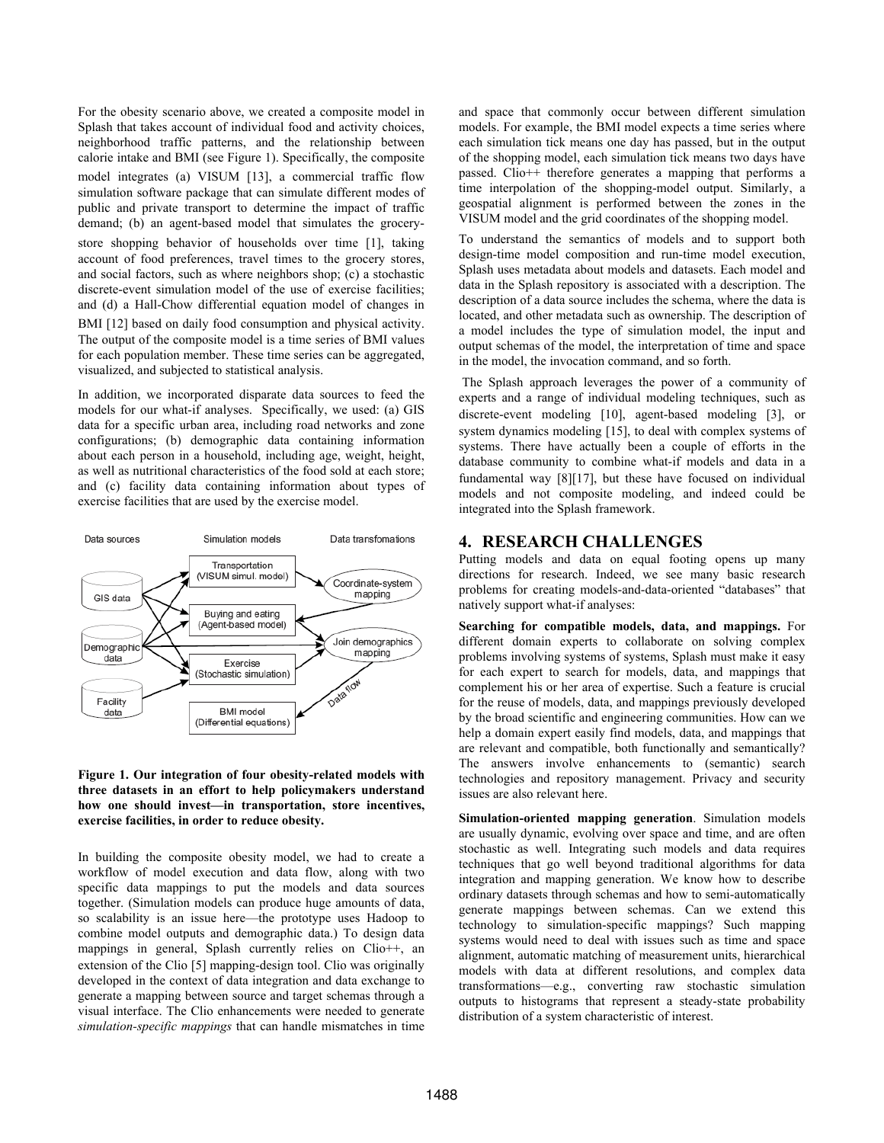For the obesity scenario above, we created a composite model in Splash that takes account of individual food and activity choices, neighborhood traffic patterns, and the relationship between calorie intake and BMI (see Figure 1). Specifically, the composite model integrates (a) VISUM [13], a commercial traffic flow simulation software package that can simulate different modes of public and private transport to determine the impact of traffic demand; (b) an agent-based model that simulates the grocerystore shopping behavior of households over time [1], taking account of food preferences, travel times to the grocery stores, and social factors, such as where neighbors shop; (c) a stochastic discrete-event simulation model of the use of exercise facilities; and (d) a Hall-Chow differential equation model of changes in BMI [12] based on daily food consumption and physical activity. The output of the composite model is a time series of BMI values for each population member. These time series can be aggregated, visualized, and subjected to statistical analysis.

In addition, we incorporated disparate data sources to feed the models for our what-if analyses. Specifically, we used: (a) GIS data for a specific urban area, including road networks and zone configurations; (b) demographic data containing information about each person in a household, including age, weight, height, as well as nutritional characteristics of the food sold at each store; and (c) facility data containing information about types of exercise facilities that are used by the exercise model.



#### **Figure 1. Our integration of four obesity-related models with three datasets in an effort to help policymakers understand how one should invest—in transportation, store incentives, exercise facilities, in order to reduce obesity.**

In building the composite obesity model, we had to create a workflow of model execution and data flow, along with two specific data mappings to put the models and data sources together. (Simulation models can produce huge amounts of data, so scalability is an issue here—the prototype uses Hadoop to combine model outputs and demographic data.) To design data mappings in general, Splash currently relies on Clio++, an extension of the Clio [5] mapping-design tool. Clio was originally developed in the context of data integration and data exchange to generate a mapping between source and target schemas through a visual interface. The Clio enhancements were needed to generate *simulation-specific mappings* that can handle mismatches in time

and space that commonly occur between different simulation models. For example, the BMI model expects a time series where each simulation tick means one day has passed, but in the output of the shopping model, each simulation tick means two days have passed. Clio++ therefore generates a mapping that performs a time interpolation of the shopping-model output. Similarly, a geospatial alignment is performed between the zones in the VISUM model and the grid coordinates of the shopping model.

To understand the semantics of models and to support both design-time model composition and run-time model execution, Splash uses metadata about models and datasets. Each model and data in the Splash repository is associated with a description. The description of a data source includes the schema, where the data is located, and other metadata such as ownership. The description of a model includes the type of simulation model, the input and output schemas of the model, the interpretation of time and space in the model, the invocation command, and so forth.

 The Splash approach leverages the power of a community of experts and a range of individual modeling techniques, such as discrete-event modeling [10], agent-based modeling [3], or system dynamics modeling [15], to deal with complex systems of systems. There have actually been a couple of efforts in the database community to combine what-if models and data in a fundamental way [8][17], but these have focused on individual models and not composite modeling, and indeed could be integrated into the Splash framework.

### **4. RESEARCH CHALLENGES**

Putting models and data on equal footing opens up many directions for research. Indeed, we see many basic research problems for creating models-and-data-oriented "databases" that natively support what-if analyses:

**Searching for compatible models, data, and mappings.** For different domain experts to collaborate on solving complex problems involving systems of systems, Splash must make it easy for each expert to search for models, data, and mappings that complement his or her area of expertise. Such a feature is crucial for the reuse of models, data, and mappings previously developed by the broad scientific and engineering communities. How can we help a domain expert easily find models, data, and mappings that are relevant and compatible, both functionally and semantically? The answers involve enhancements to (semantic) search technologies and repository management. Privacy and security issues are also relevant here.

**Simulation-oriented mapping generation**. Simulation models are usually dynamic, evolving over space and time, and are often stochastic as well. Integrating such models and data requires techniques that go well beyond traditional algorithms for data integration and mapping generation. We know how to describe ordinary datasets through schemas and how to semi-automatically generate mappings between schemas. Can we extend this technology to simulation-specific mappings? Such mapping systems would need to deal with issues such as time and space alignment, automatic matching of measurement units, hierarchical models with data at different resolutions, and complex data transformations—e.g., converting raw stochastic simulation outputs to histograms that represent a steady-state probability distribution of a system characteristic of interest.